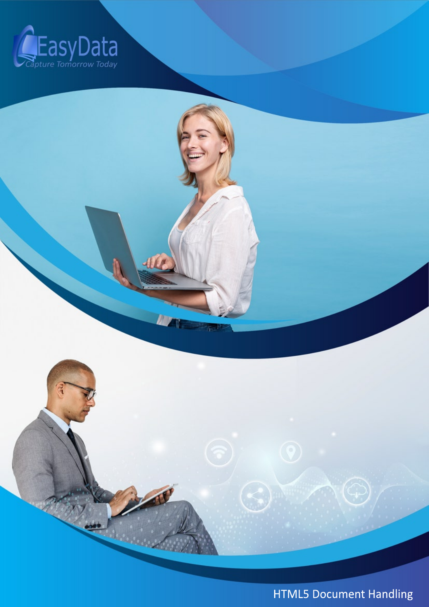



HTML5 Document Handling